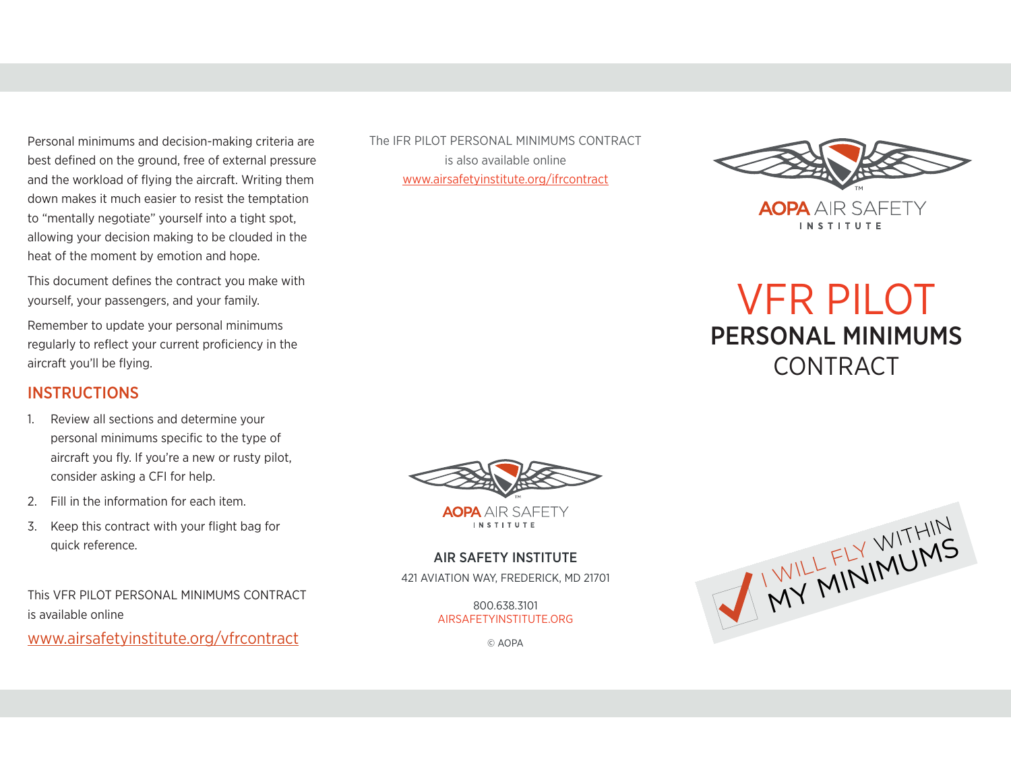Personal minimums and decision-making criteria are best defined on the ground, free of external pressure and the workload of flying the aircraft. Writing them down makes it much easier to resist the temptation to "mentally negotiate" yourself into a tight spot, allowing your decision making to be clouded in the heat of the moment by emotion and hope.

This document defines the contract you make with yourself, your passengers, and your family.

Remember to update your personal minimums regularly to reflect your current proficiency in the aircraft you'll be flying.

### **INSTRUCTIONS**

- 1. Review all sections and determine your personal minimums specific to the type of aircraft you fly. If you're a new or rusty pilot, consider asking a CFI for help.
- 2. Fill in the information for each item.
- 3. Keep this contract with your flight bag for quick reference.

This VFR PILOT PERSONAL MINIMUMS CONTRACT is available online

www.airsafetyinstitute.org/vfrcontract

The IFR PILOT PERSONAL MINIMUMS CONTRACT is also available online www.airsafetyinstitute.org/ifrcontract



# VFR PILOT PERSONAL MINIMUMS **CONTRACT**



**AOPA** AIR SAFFTY **INSTITUTE** 

### AIR SAFETY INSTITUTE

421 AVIATION WAY, FREDERICK, MD 21701

800.638.3101 AIRSAFETYINSTITUTE.ORG